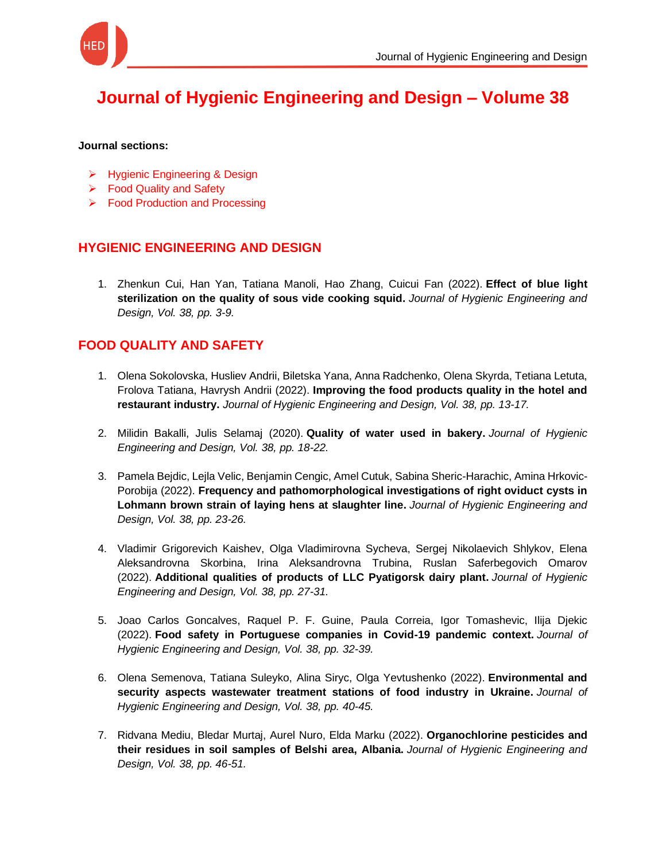

# **[Journal of Hygienic Engineering and Design –](https://keypublishing.org/jhed/jhed-volumes/volume-38/) Volume 38**

#### **Journal sections:**

- ➢ Hygienic Engineering & Design
- ➢ Food Quality and Safety
- ➢ Food Production and Processing

## **HYGIENIC ENGINEERING AND DESIGN**

1. [Zhenkun Cui, Han Yan, Tatiana Manoli, Hao Zhang, Cuicui Fan \(2022\).](https://keypublishing.org/jhed/jhed-volumes/jhed-volume-38-hed-1-zhenkun-cui-han-yan-tatiana-manoli-hao-zhang-cuicui-fan-2022-effect-of-blue-light-sterilization-on-the-quality-of-sous-vide-cooking-squid/) **Effect of blue light [sterilization on the quality of sous vide cooking squid.](https://keypublishing.org/jhed/jhed-volumes/jhed-volume-38-hed-1-zhenkun-cui-han-yan-tatiana-manoli-hao-zhang-cuicui-fan-2022-effect-of-blue-light-sterilization-on-the-quality-of-sous-vide-cooking-squid/)** *Journal of Hygienic Engineering and [Design, Vol. 38, pp. 3-9.](https://keypublishing.org/jhed/jhed-volumes/jhed-volume-38-hed-1-zhenkun-cui-han-yan-tatiana-manoli-hao-zhang-cuicui-fan-2022-effect-of-blue-light-sterilization-on-the-quality-of-sous-vide-cooking-squid/)*

#### **FOOD QUALITY AND SAFETY**

- 1. [Olena Sokolovska, Husliev Andrii, Biletska Yana, Anna Radchenko, Olena Skyrda, Tetiana Letuta,](https://keypublishing.org/jhed/jhed-volumes/jhed-volume-38-fqs-1-olena-sokolovska-husliev-andrii-biletska-yana-anna-radchenko-olena-skyrda-tetiana-letuta-frolova-tatiana-havrysh-andrii-2022-improving-the-food-products-quality/)  Frolova Tatiana, Havrysh Andrii (2022). **[Improving the food products quality in the hotel and](https://keypublishing.org/jhed/jhed-volumes/jhed-volume-38-fqs-1-olena-sokolovska-husliev-andrii-biletska-yana-anna-radchenko-olena-skyrda-tetiana-letuta-frolova-tatiana-havrysh-andrii-2022-improving-the-food-products-quality/)  restaurant industry.** *[Journal of Hygienic Engineering and Design, Vol. 38, pp. 13-17.](https://keypublishing.org/jhed/jhed-volumes/jhed-volume-38-fqs-1-olena-sokolovska-husliev-andrii-biletska-yana-anna-radchenko-olena-skyrda-tetiana-letuta-frolova-tatiana-havrysh-andrii-2022-improving-the-food-products-quality/)*
- 2. [Milidin Bakalli, Julis Selamaj \(2020\).](https://keypublishing.org/jhed/jhed-volumes/jhed-volume-38-fqs-2-milidin-bakalli-julis-selamaj-2020-quality-of-water-used-in-bakery/) **Quality of water used in bakery.** *Journal of Hygienic [Engineering and Design, Vol. 38, pp. 18-22.](https://keypublishing.org/jhed/jhed-volumes/jhed-volume-38-fqs-2-milidin-bakalli-julis-selamaj-2020-quality-of-water-used-in-bakery/)*
- 3. [Pamela Bejdic, Lejla Velic, Benjamin Cengic, Amel Cutuk, Sabina Sheric-Harachic, Amina Hrkovic-](https://keypublishing.org/jhed/jhed-volumes/jhed-volume-38-fqs-3-pamela-bejdic-lejla-velic-benjamin-cengic-amel-cutuk-sabina-sheric-harachic-amina-hrkovic-porobija-2022-improving-the-food-products-quality-in-the-hotel-and-resta/)Porobija (2022). **[Frequency and pathomorphological investigations of right oviduct cysts in](https://keypublishing.org/jhed/jhed-volumes/jhed-volume-38-fqs-3-pamela-bejdic-lejla-velic-benjamin-cengic-amel-cutuk-sabina-sheric-harachic-amina-hrkovic-porobija-2022-improving-the-food-products-quality-in-the-hotel-and-resta/)  [Lohmann brown strain of laying hens at slaughter line.](https://keypublishing.org/jhed/jhed-volumes/jhed-volume-38-fqs-3-pamela-bejdic-lejla-velic-benjamin-cengic-amel-cutuk-sabina-sheric-harachic-amina-hrkovic-porobija-2022-improving-the-food-products-quality-in-the-hotel-and-resta/)** *Journal of Hygienic Engineering and [Design, Vol. 38, pp. 23-26.](https://keypublishing.org/jhed/jhed-volumes/jhed-volume-38-fqs-3-pamela-bejdic-lejla-velic-benjamin-cengic-amel-cutuk-sabina-sheric-harachic-amina-hrkovic-porobija-2022-improving-the-food-products-quality-in-the-hotel-and-resta/)*
- 4. [Vladimir Grigorevich Kaishev, Olga Vladimirovna Sycheva, Sergej Nikolaevich Shlykov, Elena](https://keypublishing.org/jhed/jhed-volumes/jhed-volume-38-fqs-4-vladimir-grigorevich-kaishev-olga-vladimirovna-sycheva-sergej-nikolaevich-shlykov-elena-aleksandrovna-skorbina-irina-aleksandrovna-trubina-ruslan-saferbegovich-omarov/)  [Aleksandrovna Skorbina, Irina Aleksandrovna Trubina, Ruslan Saferbegovich Omarov](https://keypublishing.org/jhed/jhed-volumes/jhed-volume-38-fqs-4-vladimir-grigorevich-kaishev-olga-vladimirovna-sycheva-sergej-nikolaevich-shlykov-elena-aleksandrovna-skorbina-irina-aleksandrovna-trubina-ruslan-saferbegovich-omarov/)  (2022). **[Additional qualities of products of LLC](https://keypublishing.org/jhed/jhed-volumes/jhed-volume-38-fqs-4-vladimir-grigorevich-kaishev-olga-vladimirovna-sycheva-sergej-nikolaevich-shlykov-elena-aleksandrovna-skorbina-irina-aleksandrovna-trubina-ruslan-saferbegovich-omarov/) Pyatigorsk dairy plant.** *Journal of Hygienic [Engineering and Design, Vol. 38, pp. 27-31.](https://keypublishing.org/jhed/jhed-volumes/jhed-volume-38-fqs-4-vladimir-grigorevich-kaishev-olga-vladimirovna-sycheva-sergej-nikolaevich-shlykov-elena-aleksandrovna-skorbina-irina-aleksandrovna-trubina-ruslan-saferbegovich-omarov/)*
- 5. [Joao Carlos Goncalves, Raquel P. F. Guine, Paula Correia, Igor Tomashevic, Ilija Djekic](https://keypublishing.org/jhed/jhed-volumes/jhed-volume-38-fqs-5-joao-carlos-goncalves-raquel-p-f-guine-paula-correia-igor-tomashevic-ilija-djekic-2022-food-safety-in-portuguese-companies-in-covid-19-pandemic-context/)  (2022). **[Food safety in Portuguese companies in Covid-19 pandemic context.](https://keypublishing.org/jhed/jhed-volumes/jhed-volume-38-fqs-5-joao-carlos-goncalves-raquel-p-f-guine-paula-correia-igor-tomashevic-ilija-djekic-2022-food-safety-in-portuguese-companies-in-covid-19-pandemic-context/)** *Journal of [Hygienic Engineering and Design, Vol. 38, pp. 32-39.](https://keypublishing.org/jhed/jhed-volumes/jhed-volume-38-fqs-5-joao-carlos-goncalves-raquel-p-f-guine-paula-correia-igor-tomashevic-ilija-djekic-2022-food-safety-in-portuguese-companies-in-covid-19-pandemic-context/)*
- 6. [Olena Semenova, Tatiana Suleyko, Alina Siryc, Olga Yevtushenko \(2022\).](https://keypublishing.org/jhed/jhed-volumes/jhed-volume-38-fqs-6-olena-semenova-tatiana-suleyko-alina-siryc-olga-yevtushenko-2022-environmental-and-security-aspects-wastewater-treatment-stations-of-food-industry-in-ukraine/) **Environmental and [security aspects wastewater treatment stations of food industry in Ukraine.](https://keypublishing.org/jhed/jhed-volumes/jhed-volume-38-fqs-6-olena-semenova-tatiana-suleyko-alina-siryc-olga-yevtushenko-2022-environmental-and-security-aspects-wastewater-treatment-stations-of-food-industry-in-ukraine/)** *Journal of [Hygienic Engineering and Design, Vol. 38, pp. 40-45.](https://keypublishing.org/jhed/jhed-volumes/jhed-volume-38-fqs-6-olena-semenova-tatiana-suleyko-alina-siryc-olga-yevtushenko-2022-environmental-and-security-aspects-wastewater-treatment-stations-of-food-industry-in-ukraine/)*
- 7. [Ridvana Mediu, Bledar Murtaj, Aurel Nuro, Elda Marku \(2022\).](https://keypublishing.org/jhed/jhed-volumes/jhed-volume-38-fqs-7-ridvana-mediu-bledar-murtaj-aurel-nuro-elda-marku-2022-organochlorine-pesticides-and-their-residues-in-soil-samples-of-belshi-area-albania/) **Organochlorine pesticides and [their residues in soil samples of Belshi area, Albania.](https://keypublishing.org/jhed/jhed-volumes/jhed-volume-38-fqs-7-ridvana-mediu-bledar-murtaj-aurel-nuro-elda-marku-2022-organochlorine-pesticides-and-their-residues-in-soil-samples-of-belshi-area-albania/)** *Journal of Hygienic Engineering and [Design, Vol. 38, pp. 46-51.](https://keypublishing.org/jhed/jhed-volumes/jhed-volume-38-fqs-7-ridvana-mediu-bledar-murtaj-aurel-nuro-elda-marku-2022-organochlorine-pesticides-and-their-residues-in-soil-samples-of-belshi-area-albania/)*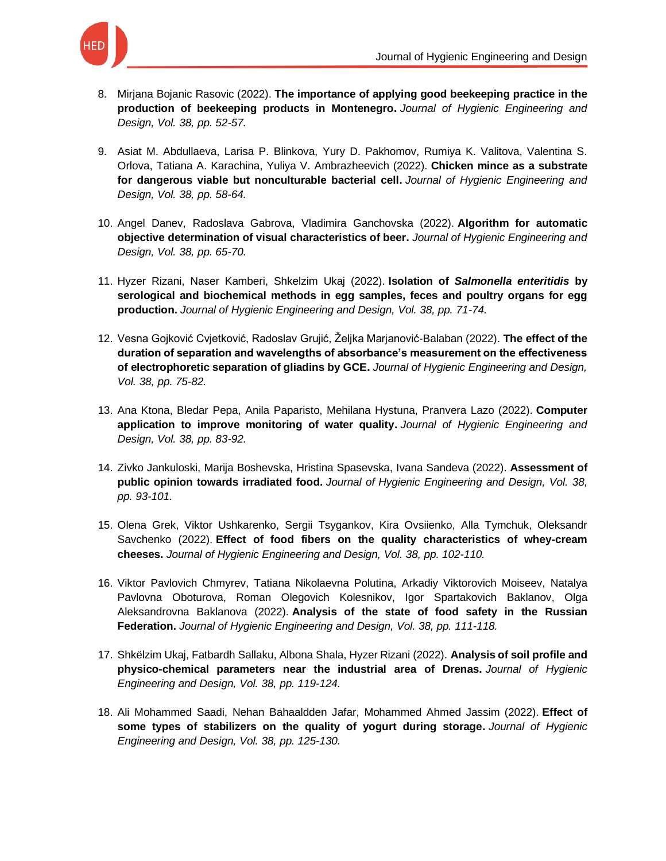

- 8. Mirjana Bojanic Rasovic (2022). **[The importance of applying good beekeeping practice in the](https://keypublishing.org/jhed/jhed-volumes/jhed-volume-38-fqs-8-mirjana-bojanic-rasovic-2022-the-importance-of-applying-good-beekeeping-practice-in-the-production-of-beekeeping-products-in-montenegro/)  [production of beekeeping products in Montenegro.](https://keypublishing.org/jhed/jhed-volumes/jhed-volume-38-fqs-8-mirjana-bojanic-rasovic-2022-the-importance-of-applying-good-beekeeping-practice-in-the-production-of-beekeeping-products-in-montenegro/)** *Journal of Hygienic Engineering and [Design, Vol. 38, pp. 52-57.](https://keypublishing.org/jhed/jhed-volumes/jhed-volume-38-fqs-8-mirjana-bojanic-rasovic-2022-the-importance-of-applying-good-beekeeping-practice-in-the-production-of-beekeeping-products-in-montenegro/)*
- 9. [Asiat M. Abdullaeva, Larisa P. Blinkova, Yury D. Pakhomov, Rumiya K. Valitova, Valentina S.](https://keypublishing.org/jhed/jhed-volumes/jhed-volume-38-fqs-9-asiat-m-abdullaeva-larisa-p-blinkova-yury-d-pakhomov-rumiya-k-valitova-valentina-s-orlova-tatiana-a-karachina-yuliya-v-ambrazheevich-2022-chicken-mince-as/)  [Orlova, Tatiana A. Karachina, Yuliya V. Ambrazheevich \(2022\).](https://keypublishing.org/jhed/jhed-volumes/jhed-volume-38-fqs-9-asiat-m-abdullaeva-larisa-p-blinkova-yury-d-pakhomov-rumiya-k-valitova-valentina-s-orlova-tatiana-a-karachina-yuliya-v-ambrazheevich-2022-chicken-mince-as/) **Chicken mince as a substrate [for dangerous viable but nonculturable bacterial cell.](https://keypublishing.org/jhed/jhed-volumes/jhed-volume-38-fqs-9-asiat-m-abdullaeva-larisa-p-blinkova-yury-d-pakhomov-rumiya-k-valitova-valentina-s-orlova-tatiana-a-karachina-yuliya-v-ambrazheevich-2022-chicken-mince-as/)** *Journal of Hygienic Engineering and [Design, Vol. 38, pp. 58-64.](https://keypublishing.org/jhed/jhed-volumes/jhed-volume-38-fqs-9-asiat-m-abdullaeva-larisa-p-blinkova-yury-d-pakhomov-rumiya-k-valitova-valentina-s-orlova-tatiana-a-karachina-yuliya-v-ambrazheevich-2022-chicken-mince-as/)*
- 10. [Angel Danev, Radoslava Gabrova, Vladimira Ganchovska \(2022\).](https://keypublishing.org/jhed/jhed-volumes/jhed-volume-38-fqs-10-angel-danev-radoslava-gabrova-vladimira-ganchovska-2022-algorithm-for-automatic-objective-determination-of-visual-characteristics-of-beer/) **Algorithm for automatic [objective determination of visual characteristics of beer.](https://keypublishing.org/jhed/jhed-volumes/jhed-volume-38-fqs-10-angel-danev-radoslava-gabrova-vladimira-ganchovska-2022-algorithm-for-automatic-objective-determination-of-visual-characteristics-of-beer/)** *Journal of Hygienic Engineering and [Design, Vol. 38, pp. 65-70.](https://keypublishing.org/jhed/jhed-volumes/jhed-volume-38-fqs-10-angel-danev-radoslava-gabrova-vladimira-ganchovska-2022-algorithm-for-automatic-objective-determination-of-visual-characteristics-of-beer/)*
- 11. [Hyzer Rizani, Naser Kamberi, Shkelzim Ukaj \(2022\).](https://keypublishing.org/jhed/jhed-volumes/jhed-volume-38-fqs-11-hyzer-rizani-naser-kamberi-shkelzim-ukaj-2022-isolation-of-salmonella-enteritidis-by-serological-and-biochemical-methods-in-egg-samples-feces-and-poultry-organs-fo/) **Isolation of** *Salmonella enteritidis* **by [serological and biochemical methods in egg samples, feces and poultry organs for egg](https://keypublishing.org/jhed/jhed-volumes/jhed-volume-38-fqs-11-hyzer-rizani-naser-kamberi-shkelzim-ukaj-2022-isolation-of-salmonella-enteritidis-by-serological-and-biochemical-methods-in-egg-samples-feces-and-poultry-organs-fo/)  production.** *[Journal of Hygienic Engineering and Design, Vol. 38, pp. 71-74.](https://keypublishing.org/jhed/jhed-volumes/jhed-volume-38-fqs-11-hyzer-rizani-naser-kamberi-shkelzim-ukaj-2022-isolation-of-salmonella-enteritidis-by-serological-and-biochemical-methods-in-egg-samples-feces-and-poultry-organs-fo/)*
- 12. [Vesna Gojković Cvjetković, Radoslav Grujić, Željka Marjanović-Balaban \(2022\).](https://keypublishing.org/jhed/jhed-volumes/jhed-volume-38-fqs-12-vesna-gojkovic-cvjetkovic-radoslav-grujic-zeljka-marjanovic-balaban-2022-improving-the-food-products-quality-in-the-hotel-and-restaurant-industry-the-effect-of-the/) **The effect of the [duration of separation and wavelengths of absorbance's measurement on the effectiveness](https://keypublishing.org/jhed/jhed-volumes/jhed-volume-38-fqs-12-vesna-gojkovic-cvjetkovic-radoslav-grujic-zeljka-marjanovic-balaban-2022-improving-the-food-products-quality-in-the-hotel-and-restaurant-industry-the-effect-of-the/)  [of electrophoretic separation of gliadins by GCE.](https://keypublishing.org/jhed/jhed-volumes/jhed-volume-38-fqs-12-vesna-gojkovic-cvjetkovic-radoslav-grujic-zeljka-marjanovic-balaban-2022-improving-the-food-products-quality-in-the-hotel-and-restaurant-industry-the-effect-of-the/)** *Journal of Hygienic Engineering and Design, [Vol. 38, pp. 75-82.](https://keypublishing.org/jhed/jhed-volumes/jhed-volume-38-fqs-12-vesna-gojkovic-cvjetkovic-radoslav-grujic-zeljka-marjanovic-balaban-2022-improving-the-food-products-quality-in-the-hotel-and-restaurant-industry-the-effect-of-the/)*
- 13. [Ana Ktona, Bledar Pepa, Anila Paparisto, Mehilana Hystuna, Pranvera Lazo \(2022\).](https://keypublishing.org/jhed/jhed-volumes/jhed-volume-38-fqs-13-ana-ktona-bledar-pepa-anila-paparisto-mehilana-hystuna-pranvera-lazo-2022-computer-application-to-improve-monitoring-of-water-quality/) **Computer [application to improve monitoring of water quality.](https://keypublishing.org/jhed/jhed-volumes/jhed-volume-38-fqs-13-ana-ktona-bledar-pepa-anila-paparisto-mehilana-hystuna-pranvera-lazo-2022-computer-application-to-improve-monitoring-of-water-quality/)** *Journal of Hygienic Engineering and [Design, Vol. 38, pp. 83-92.](https://keypublishing.org/jhed/jhed-volumes/jhed-volume-38-fqs-13-ana-ktona-bledar-pepa-anila-paparisto-mehilana-hystuna-pranvera-lazo-2022-computer-application-to-improve-monitoring-of-water-quality/)*
- 14. [Zivko Jankuloski, Marija Boshevska, Hristina Spasevska, Ivana Sandeva \(2022\).](https://keypublishing.org/jhed/jhed-volumes/jhed-volume-38-fqs-14-zivko-jankuloski-marija-boshevska-hristina-spasevska-ivana-sandeva-2022-assessment-of-public-opinion-towards-irradiated-food/) **Assessment of public opinion towards irradiated food.** *[Journal of Hygienic Engineering and Design, Vol. 38,](https://keypublishing.org/jhed/jhed-volumes/jhed-volume-38-fqs-14-zivko-jankuloski-marija-boshevska-hristina-spasevska-ivana-sandeva-2022-assessment-of-public-opinion-towards-irradiated-food/)  [pp. 93-101.](https://keypublishing.org/jhed/jhed-volumes/jhed-volume-38-fqs-14-zivko-jankuloski-marija-boshevska-hristina-spasevska-ivana-sandeva-2022-assessment-of-public-opinion-towards-irradiated-food/)*
- 15. [Olena Grek, Viktor Ushkarenko, Sergii Tsygankov, Kira Ovsiienko, Alla Tymchuk, Oleksandr](https://keypublishing.org/jhed/jhed-volumes/jhed-volume-38-fqs-15-olena-grek-viktor-ushkarenko-sergii-tsygankov-kira-ovsiienko-alla-tymchuk-oleksandr-savchenko-2022-effect-of-food-fibers-on-the-quality-characteristics-of-whey-c/)  Savchenko (2022). **Effect of food fibers [on the quality characteristics of whey-cream](https://keypublishing.org/jhed/jhed-volumes/jhed-volume-38-fqs-15-olena-grek-viktor-ushkarenko-sergii-tsygankov-kira-ovsiienko-alla-tymchuk-oleksandr-savchenko-2022-effect-of-food-fibers-on-the-quality-characteristics-of-whey-c/)  cheeses.** *[Journal of Hygienic Engineering and Design, Vol. 38, pp. 102-110.](https://keypublishing.org/jhed/jhed-volumes/jhed-volume-38-fqs-15-olena-grek-viktor-ushkarenko-sergii-tsygankov-kira-ovsiienko-alla-tymchuk-oleksandr-savchenko-2022-effect-of-food-fibers-on-the-quality-characteristics-of-whey-c/)*
- 16. [Viktor Pavlovich Chmyrev, Tatiana Nikolaevna Polutina, Arkadiy Viktorovich Moiseev, Natalya](https://keypublishing.org/jhed/jhed-volumes/jhed-volume-38-fqs-16-viktor-pavlovich-chmyrev-tatiana-nikolaevna-polutina-arkadiy-viktorovich-moiseev-natalya-pavlovna-oboturova-roman-olegovich-kolesnikov-igor-spartakovich-baklanov-ol/)  [Pavlovna Oboturova, Roman Olegovich Kolesnikov, Igor Spartakovich Baklanov, Olga](https://keypublishing.org/jhed/jhed-volumes/jhed-volume-38-fqs-16-viktor-pavlovich-chmyrev-tatiana-nikolaevna-polutina-arkadiy-viktorovich-moiseev-natalya-pavlovna-oboturova-roman-olegovich-kolesnikov-igor-spartakovich-baklanov-ol/)  Aleksandrovna Baklanova (2022). **[Analysis of the state of food safety in the Russian](https://keypublishing.org/jhed/jhed-volumes/jhed-volume-38-fqs-16-viktor-pavlovich-chmyrev-tatiana-nikolaevna-polutina-arkadiy-viktorovich-moiseev-natalya-pavlovna-oboturova-roman-olegovich-kolesnikov-igor-spartakovich-baklanov-ol/)  Federation.** *[Journal of Hygienic Engineering and Design, Vol. 38, pp. 111-118.](https://keypublishing.org/jhed/jhed-volumes/jhed-volume-38-fqs-16-viktor-pavlovich-chmyrev-tatiana-nikolaevna-polutina-arkadiy-viktorovich-moiseev-natalya-pavlovna-oboturova-roman-olegovich-kolesnikov-igor-spartakovich-baklanov-ol/)*
- 17. [Shkëlzim Ukaj, Fatbardh Sallaku, Albona Shala, Hyzer Rizani \(2022\).](https://keypublishing.org/jhed/jhed-volumes/jhed-volume-38-fqs-17-shkelzim-ukaj-fatbardh-sallaku-albona-shala-hyzer-rizani-2022-analysis-of-soil-profile-and-physico-chemical-parameters-near-the-industrial-area-of-drenas/) **Analysis of soil profile and [physico-chemical parameters near the industrial area of Drenas.](https://keypublishing.org/jhed/jhed-volumes/jhed-volume-38-fqs-17-shkelzim-ukaj-fatbardh-sallaku-albona-shala-hyzer-rizani-2022-analysis-of-soil-profile-and-physico-chemical-parameters-near-the-industrial-area-of-drenas/)** *Journal of Hygienic [Engineering and Design, Vol. 38, pp. 119-124.](https://keypublishing.org/jhed/jhed-volumes/jhed-volume-38-fqs-17-shkelzim-ukaj-fatbardh-sallaku-albona-shala-hyzer-rizani-2022-analysis-of-soil-profile-and-physico-chemical-parameters-near-the-industrial-area-of-drenas/)*
- 18. [Ali Mohammed Saadi, Nehan Bahaaldden Jafar, Mohammed Ahmed Jassim \(2022\).](https://keypublishing.org/jhed/jhed-volumes/jhed-volume-38-fqs-18-ali-mohammed-saadi-nehan-bahaaldden-jafar-mohammed-ahmed-jassim-2022-effect-of-some-types-of-stabilizers-on-the-quality-of-yogurt-during-storage/) **Effect of [some types of stabilizers on the quality of yogurt during storage.](https://keypublishing.org/jhed/jhed-volumes/jhed-volume-38-fqs-18-ali-mohammed-saadi-nehan-bahaaldden-jafar-mohammed-ahmed-jassim-2022-effect-of-some-types-of-stabilizers-on-the-quality-of-yogurt-during-storage/)** *Journal of Hygienic [Engineering and Design, Vol. 38, pp. 125-130.](https://keypublishing.org/jhed/jhed-volumes/jhed-volume-38-fqs-18-ali-mohammed-saadi-nehan-bahaaldden-jafar-mohammed-ahmed-jassim-2022-effect-of-some-types-of-stabilizers-on-the-quality-of-yogurt-during-storage/)*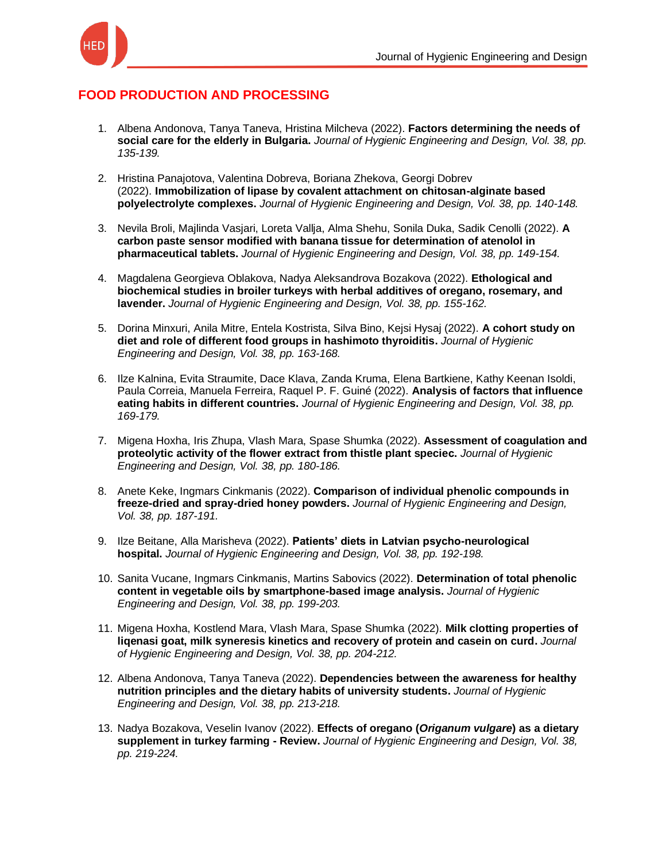

## **FOOD PRODUCTION AND PROCESSING**

- 1. [Albena Andonova, Tanya Taneva, Hristina Milcheva \(2022\).](https://keypublishing.org/jhed/jhed-volumes/jhed-volume-38-fpp-1-albena-andonova-tanya-taneva-hristina-milcheva-2022-factors-determining-the-needs-of-social-care-for-the-elderly-in-bulgaria/) **Factors determining the needs of social care for the elderly in Bulgaria.** *[Journal of Hygienic Engineering and Design, Vol. 38, pp.](https://keypublishing.org/jhed/jhed-volumes/jhed-volume-38-fpp-1-albena-andonova-tanya-taneva-hristina-milcheva-2022-factors-determining-the-needs-of-social-care-for-the-elderly-in-bulgaria/)  [135-139.](https://keypublishing.org/jhed/jhed-volumes/jhed-volume-38-fpp-1-albena-andonova-tanya-taneva-hristina-milcheva-2022-factors-determining-the-needs-of-social-care-for-the-elderly-in-bulgaria/)*
- 2. [Hristina Panajotova, Valentina Dobreva, Boriana Zhekova, Georgi Dobrev](https://keypublishing.org/jhed/jhed-volumes/jhed-volume-38-fpp-2-hristina-panajotova-valentina-dobreva-boriana-zhekova-georgi-dobrev-2022-fimmobilization-of-lipase-by-covalent-attachment-on-chitosan-alginate-based-polyelectrolyte/)  (2022). **[Immobilization of lipase by covalent attachment on chitosan-alginate based](https://keypublishing.org/jhed/jhed-volumes/jhed-volume-38-fpp-2-hristina-panajotova-valentina-dobreva-boriana-zhekova-georgi-dobrev-2022-fimmobilization-of-lipase-by-covalent-attachment-on-chitosan-alginate-based-polyelectrolyte/)  polyelectrolyte complexes.** *[Journal of Hygienic Engineering and Design, Vol. 38, pp. 140-148.](https://keypublishing.org/jhed/jhed-volumes/jhed-volume-38-fpp-2-hristina-panajotova-valentina-dobreva-boriana-zhekova-georgi-dobrev-2022-fimmobilization-of-lipase-by-covalent-attachment-on-chitosan-alginate-based-polyelectrolyte/)*
- 3. [Nevila Broli, Majlinda Vasjari, Loreta Vallja, Alma Shehu, Sonila Duka, Sadik Cenolli \(2022\).](https://keypublishing.org/jhed/jhed-volumes/jhed-volume-38-fpp-3-nevila-broli-majlinda-vasjari-loreta-vallja-alma-shehu-sonila-duka-sadik-cenolli-2022-a-carbon-paste-sensor-modified-with-banana-tissue-for-determination-of-ateno/) **A [carbon paste sensor modified with banana tissue for determination of atenolol in](https://keypublishing.org/jhed/jhed-volumes/jhed-volume-38-fpp-3-nevila-broli-majlinda-vasjari-loreta-vallja-alma-shehu-sonila-duka-sadik-cenolli-2022-a-carbon-paste-sensor-modified-with-banana-tissue-for-determination-of-ateno/)  pharmaceutical tablets.** *[Journal of Hygienic Engineering and Design, Vol. 38, pp. 149-154.](https://keypublishing.org/jhed/jhed-volumes/jhed-volume-38-fpp-3-nevila-broli-majlinda-vasjari-loreta-vallja-alma-shehu-sonila-duka-sadik-cenolli-2022-a-carbon-paste-sensor-modified-with-banana-tissue-for-determination-of-ateno/)*
- 4. [Magdalena Georgieva Oblakova, Nadya Aleksandrova Bozakova \(2022\).](https://keypublishing.org/jhed/jhed-volumes/jhed-volume-38-fpp-4-magdalena-georgieva-oblakova-nadya-aleksandrova-bozakova-2022-ethological-and-biochemical-studies-in-broiler-turkeys-with-herbal-additives-of-oregano-rosemary-and-l/) **Ethological and [biochemical studies in broiler turkeys with herbal additives of oregano, rosemary, and](https://keypublishing.org/jhed/jhed-volumes/jhed-volume-38-fpp-4-magdalena-georgieva-oblakova-nadya-aleksandrova-bozakova-2022-ethological-and-biochemical-studies-in-broiler-turkeys-with-herbal-additives-of-oregano-rosemary-and-l/)  lavender.** *[Journal of Hygienic Engineering and Design, Vol. 38, pp. 155-162.](https://keypublishing.org/jhed/jhed-volumes/jhed-volume-38-fpp-4-magdalena-georgieva-oblakova-nadya-aleksandrova-bozakova-2022-ethological-and-biochemical-studies-in-broiler-turkeys-with-herbal-additives-of-oregano-rosemary-and-l/)*
- 5. [Dorina Minxuri, Anila Mitre, Entela Kostrista, Silva Bino, Kejsi Hysaj \(2022\).](https://keypublishing.org/jhed/jhed-volumes/jhed-volume-38-fpp-5-dorina-minxuri-anila-mitre-entela-kostrista-silva-bino-kejsi-hysaj-2022-a-cohort-study-on-diet-and-role-of-different-food-groups-in-hashimoto-thyroiditis/) **A cohort study on [diet and role of different food groups in hashimoto thyroiditis.](https://keypublishing.org/jhed/jhed-volumes/jhed-volume-38-fpp-5-dorina-minxuri-anila-mitre-entela-kostrista-silva-bino-kejsi-hysaj-2022-a-cohort-study-on-diet-and-role-of-different-food-groups-in-hashimoto-thyroiditis/)** *Journal of Hygienic [Engineering and Design, Vol. 38, pp. 163-168.](https://keypublishing.org/jhed/jhed-volumes/jhed-volume-38-fpp-5-dorina-minxuri-anila-mitre-entela-kostrista-silva-bino-kejsi-hysaj-2022-a-cohort-study-on-diet-and-role-of-different-food-groups-in-hashimoto-thyroiditis/)*
- 6. [Ilze Kalnina, Evita Straumite, Dace Klava, Zanda Kruma, Elena Bartkiene, Kathy Keenan Isoldi,](https://keypublishing.org/jhed/jhed-volumes/jhed-volume-38-fpp-6-ilze-kalnina-evita-straumite-dace-klava-zanda-kruma-elena-bartkiene-kathy-keenan-isoldi-paula-correia-manuela-ferreira-raquel-p-f-guine-2022-analysis-of-fact/)  [Paula Correia, Manuela Ferreira, Raquel P. F. Guiné \(2022\).](https://keypublishing.org/jhed/jhed-volumes/jhed-volume-38-fpp-6-ilze-kalnina-evita-straumite-dace-klava-zanda-kruma-elena-bartkiene-kathy-keenan-isoldi-paula-correia-manuela-ferreira-raquel-p-f-guine-2022-analysis-of-fact/) **Analysis of factors that influence eating habits in different countries.** *[Journal of Hygienic Engineering and Design, Vol. 38, pp.](https://keypublishing.org/jhed/jhed-volumes/jhed-volume-38-fpp-6-ilze-kalnina-evita-straumite-dace-klava-zanda-kruma-elena-bartkiene-kathy-keenan-isoldi-paula-correia-manuela-ferreira-raquel-p-f-guine-2022-analysis-of-fact/)  [169-179.](https://keypublishing.org/jhed/jhed-volumes/jhed-volume-38-fpp-6-ilze-kalnina-evita-straumite-dace-klava-zanda-kruma-elena-bartkiene-kathy-keenan-isoldi-paula-correia-manuela-ferreira-raquel-p-f-guine-2022-analysis-of-fact/)*
- 7. [Migena Hoxha, Iris Zhupa, Vlash Mara, Spase Shumka \(2022\).](https://keypublishing.org/jhed/jhed-volumes/jhed-volume-38-fpp-7-migena-hoxha-iris-zhupa-vlash-mara-spase-shumka-2022-assessment-of-coagulation-and-proteolytic-activity-of-the-flower-extract-from-thistle-plant-specie%d1%81/) **Assessment of coagulation and [proteolytic activity of the flower extract from thistle plant specieс.](https://keypublishing.org/jhed/jhed-volumes/jhed-volume-38-fpp-7-migena-hoxha-iris-zhupa-vlash-mara-spase-shumka-2022-assessment-of-coagulation-and-proteolytic-activity-of-the-flower-extract-from-thistle-plant-specie%d1%81/)** *Journal of Hygienic [Engineering and Design, Vol. 38, pp. 180-186.](https://keypublishing.org/jhed/jhed-volumes/jhed-volume-38-fpp-7-migena-hoxha-iris-zhupa-vlash-mara-spase-shumka-2022-assessment-of-coagulation-and-proteolytic-activity-of-the-flower-extract-from-thistle-plant-specie%d1%81/)*
- 8. Anete Keke, Ingmars Cinkmanis (2022). **[Comparison of individual phenolic compounds in](https://keypublishing.org/jhed/jhed-volumes/jhed-volume-38-fpp-8-anete-keke-ingmars-cinkmanis-2022-comparison-of-individual-phenolic-compounds-in-freeze-dried-and-spray-dried-honey-powders/)  [freeze-dried and spray-dried honey powders.](https://keypublishing.org/jhed/jhed-volumes/jhed-volume-38-fpp-8-anete-keke-ingmars-cinkmanis-2022-comparison-of-individual-phenolic-compounds-in-freeze-dried-and-spray-dried-honey-powders/)** *Journal of Hygienic Engineering and Design, [Vol. 38, pp. 187-191.](https://keypublishing.org/jhed/jhed-volumes/jhed-volume-38-fpp-8-anete-keke-ingmars-cinkmanis-2022-comparison-of-individual-phenolic-compounds-in-freeze-dried-and-spray-dried-honey-powders/)*
- 9. Ilze Beitane, Alla Marisheva (2022). **[Patients' diets in Latvian psycho-neurological](https://keypublishing.org/jhed/jhed-volumes/jhed-volume-38-fpp-9-ilze-beitane-alla-marisheva-2022-patients-diets-in-latvian-psycho-neurological-hospital/)  hospital.** *[Journal of Hygienic Engineering and Design, Vol. 38, pp. 192-198.](https://keypublishing.org/jhed/jhed-volumes/jhed-volume-38-fpp-9-ilze-beitane-alla-marisheva-2022-patients-diets-in-latvian-psycho-neurological-hospital/)*
- 10. [Sanita Vucane, Ingmars Cinkmanis, Martins Sabovics \(2022\).](https://keypublishing.org/jhed/jhed-volumes/jhed-volume-38-fpp-10-sanita-vucane-ingmars-cinkmanis-martins-sabovics-2022-determination-of-total-phenolic-content-in-vegetable-oils-by-smartphone-based-image-analysis/) **Determination of total phenolic [content in vegetable oils by smartphone-based image analysis.](https://keypublishing.org/jhed/jhed-volumes/jhed-volume-38-fpp-10-sanita-vucane-ingmars-cinkmanis-martins-sabovics-2022-determination-of-total-phenolic-content-in-vegetable-oils-by-smartphone-based-image-analysis/)** *Journal of Hygienic [Engineering and Design, Vol. 38, pp. 199-203.](https://keypublishing.org/jhed/jhed-volumes/jhed-volume-38-fpp-10-sanita-vucane-ingmars-cinkmanis-martins-sabovics-2022-determination-of-total-phenolic-content-in-vegetable-oils-by-smartphone-based-image-analysis/)*
- 11. [Migena Hoxha, Kostlend Mara, Vlash Mara, Spase Shumka \(2022\).](https://keypublishing.org/jhed/jhed-volumes/jhed-volume-38-fpp-11-migena-hoxha-kostlend-mara-vlash-mara-spase-shumka-2022-milk-clotting-properties-of-liqenasi-goat-milk-syneresis-kinetics-and-recovery-of-protein-and-casein-on-cu/) **Milk clotting properties of [liqenasi goat, milk syneresis kinetics and recovery of protein and casein on curd.](https://keypublishing.org/jhed/jhed-volumes/jhed-volume-38-fpp-11-migena-hoxha-kostlend-mara-vlash-mara-spase-shumka-2022-milk-clotting-properties-of-liqenasi-goat-milk-syneresis-kinetics-and-recovery-of-protein-and-casein-on-cu/)** *Journal [of Hygienic Engineering and Design, Vol. 38, pp. 204-212.](https://keypublishing.org/jhed/jhed-volumes/jhed-volume-38-fpp-11-migena-hoxha-kostlend-mara-vlash-mara-spase-shumka-2022-milk-clotting-properties-of-liqenasi-goat-milk-syneresis-kinetics-and-recovery-of-protein-and-casein-on-cu/)*
- 12. Albena Andonova, Tanya Taneva (2022). **[Dependencies between the awareness for healthy](https://keypublishing.org/jhed/jhed-volumes/jhed-volume-38-fpp-12-albena-andonova-tanya-taneva-2022-dependencies-between-the-awareness-for-healthy-nutrition-principles-and-the-dietary-habits-of-university-students/)  [nutrition principles and the dietary habits of university students.](https://keypublishing.org/jhed/jhed-volumes/jhed-volume-38-fpp-12-albena-andonova-tanya-taneva-2022-dependencies-between-the-awareness-for-healthy-nutrition-principles-and-the-dietary-habits-of-university-students/)** *Journal of Hygienic [Engineering and Design, Vol. 38, pp. 213-218.](https://keypublishing.org/jhed/jhed-volumes/jhed-volume-38-fpp-12-albena-andonova-tanya-taneva-2022-dependencies-between-the-awareness-for-healthy-nutrition-principles-and-the-dietary-habits-of-university-students/)*
- 13. [Nadya Bozakova, Veselin Ivanov \(2022\).](https://keypublishing.org/jhed/jhed-volumes/jhed-volume-38-fpp-13-nadya-bozakova-veselin-ivanov-2022-effects-of-oregano-origanum-vulgare-as-a-dietary-supplement-in-turkey-farming-review/) **Effects of oregano (***Origanum vulgare***) as a dietary supplement in turkey farming - Review.** *[Journal of Hygienic Engineering and Design, Vol. 38,](https://keypublishing.org/jhed/jhed-volumes/jhed-volume-38-fpp-13-nadya-bozakova-veselin-ivanov-2022-effects-of-oregano-origanum-vulgare-as-a-dietary-supplement-in-turkey-farming-review/)  [pp. 219-224.](https://keypublishing.org/jhed/jhed-volumes/jhed-volume-38-fpp-13-nadya-bozakova-veselin-ivanov-2022-effects-of-oregano-origanum-vulgare-as-a-dietary-supplement-in-turkey-farming-review/)*